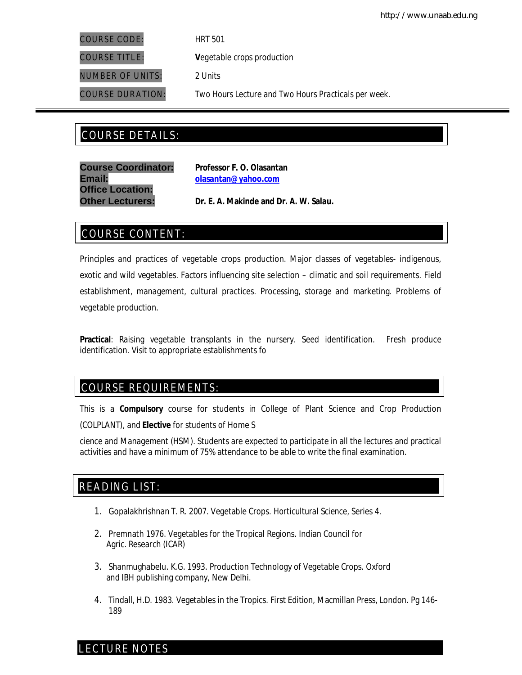COURSE CODE: *HRT 501*

COURSE TITLE: **V***egetable crops production*

NUMBER OF UNITS: *2 Units*

COURSE DURATION: *Two Hours Lecture and Two Hours Practicals per week.*

# COURSE DETAILS: COURSE DETAILS:

**Course Coordinator: Professor F. O. Olasantan Email: olasantan@yahoo.com Office Location:**

**Other Lecturers: Dr. E. A. Makinde and Dr. A. W. Salau.**

# COURSE CONTENT:

Principles and practices of vegetable crops production. Major classes of vegetables- indigenous, exotic and wild vegetables. Factors influencing site selection – climatic and soil requirements. Field establishment, management, cultural practices. Processing, storage and marketing. Problems of vegetable production.

**Practical**: Raising vegetable transplants in the nursery. Seed identification. Fresh produce identification. Visit to appropriate establishments fo

# COURSE REQUIREMENTS:

This is a **Compulsory** course for students in College of Plant Science and Crop Production (COLPLANT), and **Elective** for students of Home S

cience and Management (HSM). Students are expected to participate in all the lectures and practical activities and have a minimum of 75% attendance to be able to write the final examination.

# READING LIST:

- 1. Gopalakhrishnan T. R. 2007. Vegetable Crops. *Horticultural Science,* Series 4.
- 2. Premnath 1976. Vegetables for the Tropical Regions. Indian Council for Agric. Research (ICAR)
- 3. Shanmughabelu. K.G. 1993. Production Technology of Vegetable Crops. Oxford and IBH publishing company, New Delhi.
- 4. Tindall, H.D. 1983. Vegetables in the Tropics. First Edition, Macmillan Press, London. Pg 146- 189

# LECTURE NOTES

E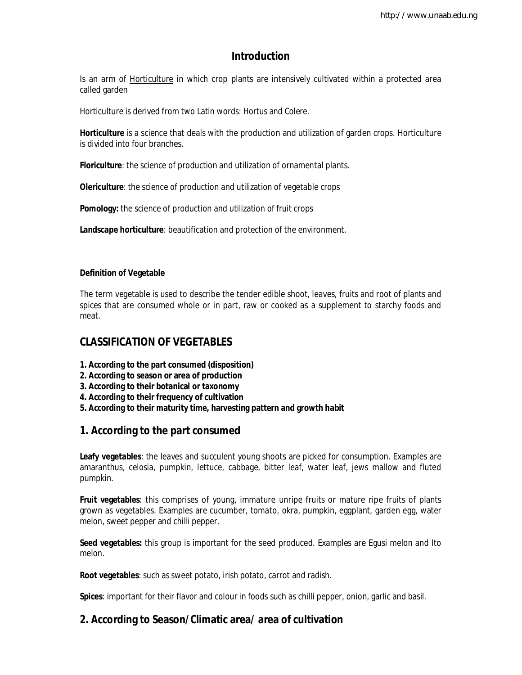# **Introduction**

Is an arm of **Horticulture** in which crop plants are intensively cultivated within a protected area called garden

Horticulture is derived from two Latin words: *Hortus* and *Colere*.

**Horticulture** is a science that deals with the production and utilization of garden crops. Horticulture is divided into four branches.

**Floriculture**: the science of production and utilization of ornamental plants.

**Olericulture**: the science of production and utilization of vegetable crops

**Pomology:** the science of production and utilization of fruit crops

**Landscape horticulture**: beautification and protection of the environment.

### **Definition of Vegetable**

The term vegetable is used to describe the tender edible shoot, leaves, fruits and root of plants and spices that are consumed whole or in part, raw or cooked as a supplement to starchy foods and meat.

## **CLASSIFICATION OF VEGETABLES**

- **1. According to the part consumed (disposition)**
- **2. According to season or area of production**
- **3. According to their botanical or taxonomy**
- **4. According to their frequency of cultivation**
- **5. According to their maturity time, harvesting pattern and growth habit**

# **1. According to the part consumed**

**Leafy vegetables**: the leaves and succulent young shoots are picked for consumption. Examples are amaranthus, celosia, pumpkin, lettuce, cabbage, bitter leaf, water leaf, jews mallow and fluted pumpkin.

**Fruit vegetables**: this comprises of young, immature unripe fruits or mature ripe fruits of plants grown as vegetables. Examples are cucumber, tomato, okra, pumpkin, eggplant, garden egg, water melon, sweet pepper and chilli pepper.

**Seed vegetables:** this group is important for the seed produced. Examples are Egusi melon and Ito melon.

**Root vegetables**: such as sweet potato, irish potato, carrot and radish.

**Spices**: important for their flavor and colour in foods such as chilli pepper, onion, garlic and basil.

# **2. According to Season/Climatic area/ area of cultivation**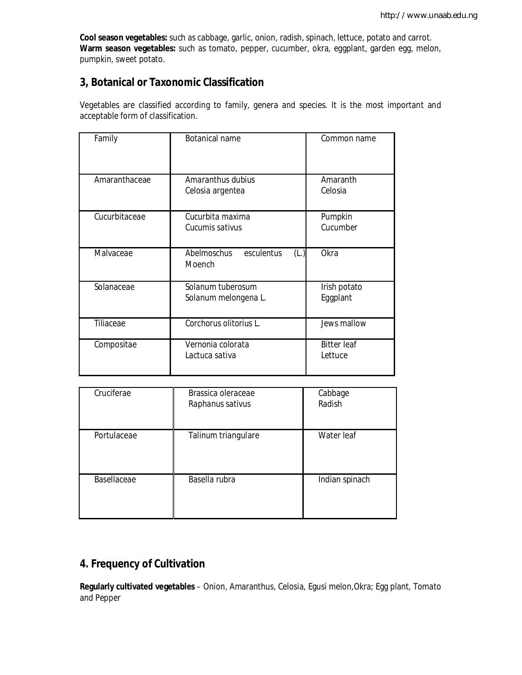**Cool season vegetables:** such as cabbage, garlic, onion, radish, spinach, lettuce, potato and carrot. **Warm season vegetables:** such as tomato, pepper, cucumber, okra, eggplant, garden egg, melon, pumpkin, sweet potato.

# **3, Botanical or Taxonomic Classification**

Vegetables are classified according to family, genera and species. It is the most important and acceptable form of classification.

| Family        | <b>Botanical name</b>                       | Common name                   |
|---------------|---------------------------------------------|-------------------------------|
| Amaranthaceae | Amaranthus dubius<br>Celosia argentea       | Amaranth<br>Celosia           |
| Cucurbitaceae | Cucurbita maxima<br>Cucumis sativus         | Pumpkin<br>Cucumber           |
| Malvaceae     | Abelmoschus<br>esculentus<br>(L.)<br>Moench | Okra                          |
| Solanaceae    | Solanum tuberosum<br>Solanum melongena L.   | Irish potato<br>Eggplant      |
| Tiliaceae     | Corchorus olitorius L.                      | Jews mallow                   |
| Compositae    | Vernonia colorata<br>Lactuca sativa         | <b>Bitter leaf</b><br>Lettuce |

| Cruciferae  | Brassica oleraceae<br>Raphanus sativus | Cabbage<br>Radish |
|-------------|----------------------------------------|-------------------|
| Portulaceae | Talinum triangulare                    | Water leaf        |
| Basellaceae | Basella rubra                          | Indian spinach    |

# **4. Frequency of Cultivation**

**Regularly cultivated vegetables** – Onion, Amaranthus, Celosia, Egusi melon,Okra; Egg plant, Tomato and Pepper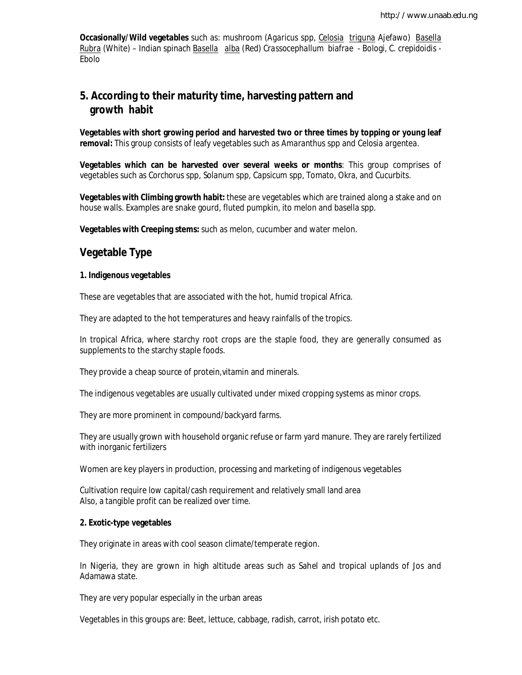**Occasionally/Wild vegetables** such as: mushroom (*Agaricus* spp, *Celosia triguna* Ajefawo) *Basella Rubra* (White) – Indian spinach *Basella alba* (Red) *Crassocephallum biafrae* - Bologi, *C. crepidoidis* - Ebolo

# **5. According to their maturity time, harvesting pattern and growth habit**

**Vegetables with short growing period and harvested two or three times by topping or young leaf removal:** This group consists of leafy vegetables such as *Amaranthus* spp and *Celosia argentea.* 

**Vegetables which can be harvested over several weeks or months**: This group comprises of vegetables such as *Corchorus* spp, *Solanum* spp, *Capsicum* spp, Tomato, Okra, and Cucurbits.

**Vegetables with Climbing growth habit:** these are vegetables which are trained along a stake and on house walls. Examples are snake gourd, fluted pumpkin, ito melon and basella spp.

**Vegetables with Creeping stems:** such as melon, cucumber and water melon.

## **Vegetable Type**

#### **1. Indigenous vegetables**

These are vegetables that are associated with the hot, humid tropical Africa.

They are adapted to the hot temperatures and heavy rainfalls of the tropics.

In tropical Africa, where starchy root crops are the staple food, they are generally consumed as supplements to the starchy staple foods.

They provide a cheap source of protein,vitamin and minerals.

The indigenous vegetables are usually cultivated under mixed cropping systems as minor crops.

They are more prominent in compound/backyard farms.

They are usually grown with household organic refuse or farm yard manure. They are rarely fertilized with inorganic fertilizers

Women are key players in production, processing and marketing of indigenous vegetables

Cultivation require low capital/cash requirement and relatively small land area Also, a tangible profit can be realized over time.

#### **2. Exotic-type vegetables**

They originate in areas with cool season climate/temperate region.

In Nigeria, they are grown in high altitude areas such as Sahel and tropical uplands of Jos and Adamawa state.

They are very popular especially in the urban areas

Vegetables in this groups are: Beet, lettuce, cabbage, radish, carrot, irish potato etc.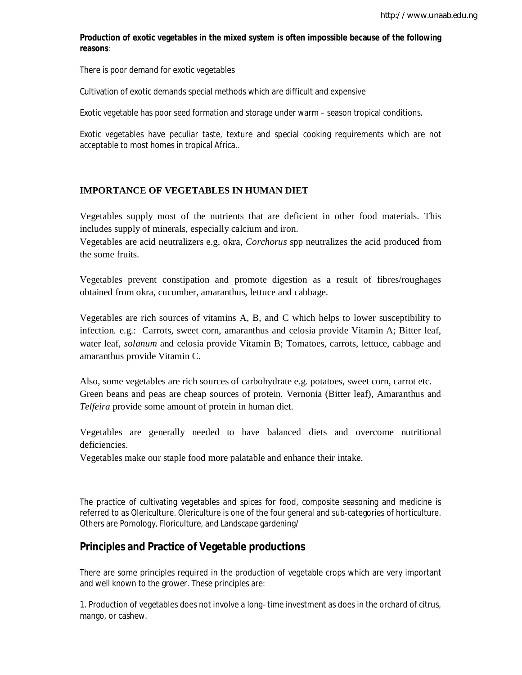### **Production of exotic vegetables in the mixed system is often impossible because of the following reasons**:

There is poor demand for exotic vegetables

Cultivation of exotic demands special methods which are difficult and expensive

Exotic vegetable has poor seed formation and storage under warm – season tropical conditions.

Exotic vegetables have peculiar taste, texture and special cooking requirements which are not acceptable to most homes in tropical Africa..

#### **IMPORTANCE OF VEGETABLES IN HUMAN DIET**

Vegetables supply most of the nutrients that are deficient in other food materials. This includes supply of minerals, especially calcium and iron.

Vegetables are acid neutralizers e.g. okra, *Corchorus* spp neutralizes the acid produced from the some fruits.

Vegetables prevent constipation and promote digestion as a result of fibres/roughages obtained from okra, cucumber, amaranthus, lettuce and cabbage.

Vegetables are rich sources of vitamins A, B, and C which helps to lower susceptibility to infection. e.g.: Carrots, sweet corn, amaranthus and celosia provide Vitamin A; Bitter leaf, water leaf, *solanum* and celosia provide Vitamin B; Tomatoes, carrots, lettuce, cabbage and amaranthus provide Vitamin C.

Also, some vegetables are rich sources of carbohydrate e.g. potatoes, sweet corn, carrot etc. Green beans and peas are cheap sources of protein. Vernonia (Bitter leaf), Amaranthus and *Telfeira* provide some amount of protein in human diet.

Vegetables are generally needed to have balanced diets and overcome nutritional deficiencies.

Vegetables make our staple food more palatable and enhance their intake.

The practice of cultivating vegetables and spices for food, composite seasoning and medicine is referred to as Olericulture. Olericulture is one of the four general and sub-categories of horticulture. Others are Pomology, Floriculture, and Landscape gardening/

## **Principles and Practice of Vegetable productions**

There are some principles required in the production of vegetable crops which are very important and well known to the grower. These principles are:

1. Production of vegetables does not involve a long- time investment as does in the orchard of citrus, mango, or cashew.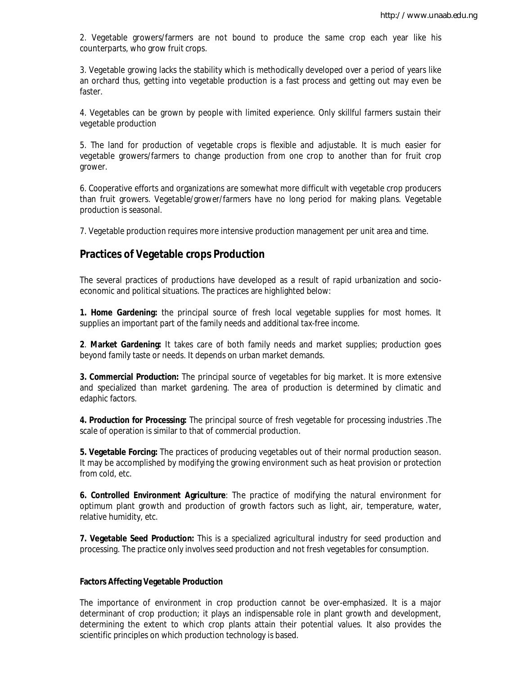2. Vegetable growers/farmers are not bound to produce the same crop each year like his counterparts, who grow fruit crops.

3. Vegetable growing lacks the stability which is methodically developed over a period of years like an orchard thus, getting into vegetable production is a fast process and getting out may even be faster.

4. Vegetables can be grown by people with limited experience. Only skillful farmers sustain their vegetable production

5. The land for production of vegetable crops is flexible and adjustable. It is much easier for vegetable growers/farmers to change production from one crop to another than for fruit crop grower.

6. Cooperative efforts and organizations are somewhat more difficult with vegetable crop producers than fruit growers. Vegetable/grower/farmers have no long period for making plans. Vegetable production is seasonal.

7. Vegetable production requires more intensive production management per unit area and time.

## **Practices of Vegetable crops Production**

The several practices of productions have developed as a result of rapid urbanization and socioeconomic and political situations. The practices are highlighted below:

**1. Home Gardening:** the principal source of fresh local vegetable supplies for most homes. It supplies an important part of the family needs and additional tax-free income.

**2**. **Market Gardening:** It takes care of both family needs and market supplies; production goes beyond family taste or needs. It depends on urban market demands.

**3. Commercial Production:** The principal source of vegetables for big market. It is more extensive and specialized than market gardening. The area of production is determined by climatic and edaphic factors.

**4. Production for Processing:** The principal source of fresh vegetable for processing industries .The scale of operation is similar to that of commercial production.

**5. Vegetable Forcing:** The practices of producing vegetables out of their normal production season. It may be accomplished by modifying the growing environment such as heat provision or protection from cold, etc.

**6. Controlled Environment Agriculture**: The practice of modifying the natural environment for optimum plant growth and production of growth factors such as light, air, temperature, water, relative humidity, etc.

**7. Vegetable Seed Production:** This is a specialized agricultural industry for seed production and processing. The practice only involves seed production and not fresh vegetables for consumption.

#### **Factors Affecting Vegetable Production**

The importance of environment in crop production cannot be over-emphasized. It is a major determinant of crop production; it plays an indispensable role in plant growth and development, determining the extent to which crop plants attain their potential values. It also provides the scientific principles on which production technology is based.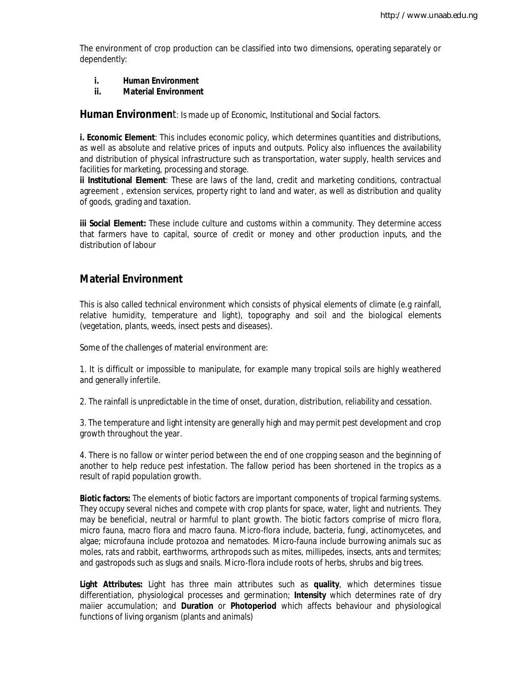The environment of crop production can be classified into two dimensions, operating separately or dependently:

- **i. Human Environment**
- **ii. Material Environment**

Human Environment: Is made up of Economic, Institutional and Social factors.

**i. Economic Element**: This includes economic policy, which determines quantities and distributions, as well as absolute and relative prices of inputs and outputs. Policy also influences the availability and distribution of physical infrastructure such as transportation, water supply, health services and facilities for marketing, processing and storage.

**ii Institutional Element**: These are laws of the land, credit and marketing conditions, contractual agreement , extension services, property right to land and water, as well as distribution and quality of goods, grading and taxation.

**iii Social Element:** These include culture and customs within a community. They determine access that farmers have to capital, source of credit or money and other production inputs, and the distribution of labour

## **Material Environment**

This is also called technical environment which consists of physical elements of climate (e.g rainfall, relative humidity, temperature and light), topography and soil and the biological elements (vegetation, plants, weeds, insect pests and diseases).

Some of the challenges of material environment are:

1. It is difficult or impossible to manipulate, for example many tropical soils are highly weathered and generally infertile.

2. The rainfall is unpredictable in the time of onset, duration, distribution, reliability and cessation.

3. The temperature and light intensity are generally high and may permit pest development and crop growth throughout the year.

4. There is no fallow or winter period between the end of one cropping season and the beginning of another to help reduce pest infestation. The fallow period has been shortened in the tropics as a result of rapid population growth.

**Biotic factors:** The elements of biotic factors are important components of tropical farming systems. They occupy several niches and compete with crop plants for space, water, light and nutrients. They may be beneficial, neutral or harmful to plant growth. The biotic factors comprise of micro flora, micro fauna, macro flora and macro fauna. Micro-flora include, bacteria, fungi, actinomycetes, and algae; microfauna include protozoa and nematodes. Micro-fauna include burrowing animals suc as moles, rats and rabbit, earthworms, arthropods such as mites, millipedes, insects, ants and termites; and gastropods such as slugs and snails. Micro-flora include roots of herbs, shrubs and big trees.

**Light Attributes:** Light has three main attributes such as **quality**, which determines tissue differentiation, physiological processes and germination; **Intensity** which determines rate of dry maiier accumulation; and **Duration** or **Photoperiod** which affects behaviour and physiological functions of living organism (plants and animals)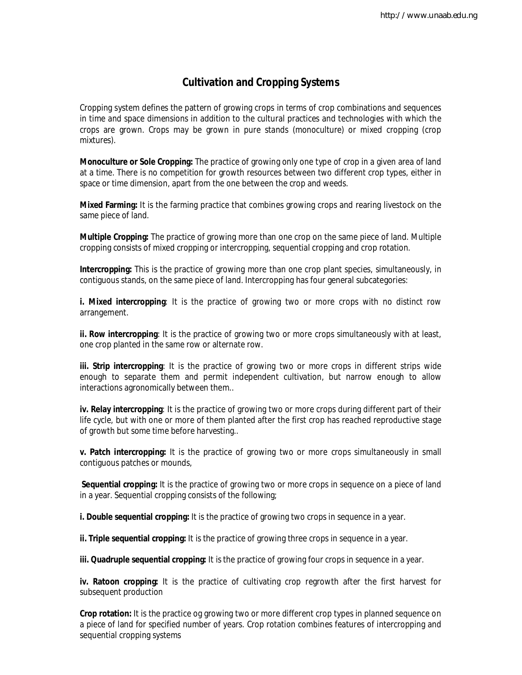# **Cultivation and Cropping Systems**

Cropping system defines the pattern of growing crops in terms of crop combinations and sequences in time and space dimensions in addition to the cultural practices and technologies with which the crops are grown. Crops may be grown in pure stands (monoculture) or mixed cropping (crop mixtures).

**Monoculture or Sole Cropping:** The practice of growing only one type of crop in a given area of land at a time. There is no competition for growth resources between two different crop types, either in space or time dimension, apart from the one between the crop and weeds.

**Mixed Farming:** It is the farming practice that combines growing crops and rearing livestock on the same piece of land.

**Multiple Cropping:** The practice of growing more than one crop on the same piece of land. Multiple cropping consists of mixed cropping or intercropping, sequential cropping and crop rotation.

**Intercropping:** This is the practice of growing more than one crop plant species, simultaneously, in contiguous stands, on the same piece of land. Intercropping has four general subcategories:

**i. Mixed intercropping**: It is the practice of growing two or more crops with no distinct row arrangement.

**ii. Row intercropping**: It is the practice of growing two or more crops simultaneously with at least, one crop planted in the same row or alternate row.

**iii. Strip intercropping**: It is the practice of growing two or more crops in different strips wide enough to separate them and permit independent cultivation, but narrow enough to allow interactions agronomically between them..

**iv. Relay intercropping**: It is the practice of growing two or more crops during different part of their life cycle, but with one or more of them planted after the first crop has reached reproductive stage of growth but some time before harvesting..

**v. Patch intercropping:** It is the practice of growing two or more crops simultaneously in small contiguous patches or mounds,

**Sequential cropping:** It is the practice of growing two or more crops in sequence on a piece of land in a year. Sequential cropping consists of the following;

**i. Double sequential cropping:** It is the practice of growing two crops in sequence in a year.

**ii. Triple sequential cropping:** It is the practice of growing three crops in sequence in a year.

**iii. Quadruple sequential cropping:** It is the practice of growing four crops in sequence in a year.

**iv. Ratoon cropping:** It is the practice of cultivating crop regrowth after the first harvest for subsequent production

**Crop rotation:** It is the practice og growing two or more different crop types in planned sequence on a piece of land for specified number of years. Crop rotation combines features of intercropping and sequential cropping systems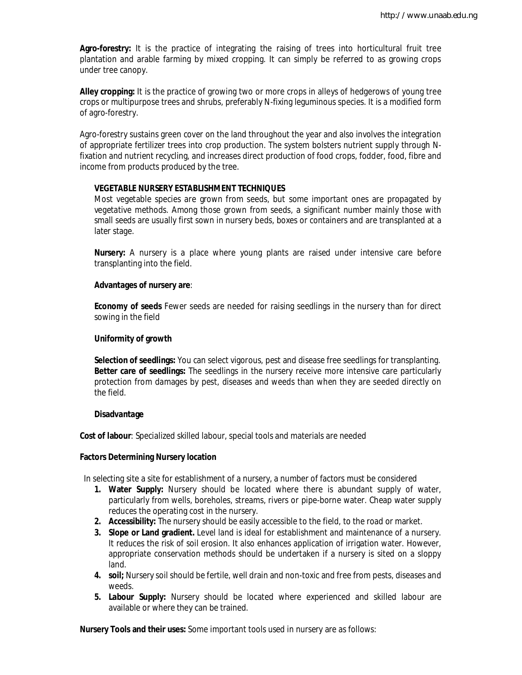**Agro-forestry:** It is the practice of integrating the raising of trees into horticultural fruit tree plantation and arable farming by mixed cropping. It can simply be referred to as growing crops under tree canopy.

**Alley cropping:** It is the practice of growing two or more crops in alleys of hedgerows of young tree crops or multipurpose trees and shrubs, preferably N-fixing leguminous species. It is a modified form of agro-forestry.

Agro-forestry sustains green cover on the land throughout the year and also involves the integration of appropriate fertilizer trees into crop production. The system bolsters nutrient supply through Nfixation and nutrient recycling, and increases direct production of food crops, fodder, food, fibre and income from products produced by the tree.

### **VEGETABLE NURSERY ESTABLISHMENT TECHNIQUES**

Most vegetable species are grown from seeds, but some important ones are propagated by vegetative methods. Among those grown from seeds, a significant number mainly those with small seeds are usually first sown in nursery beds, boxes or containers and are transplanted at a later stage.

**Nursery:** A nursery is a place where young plants are raised under intensive care before transplanting into the field.

#### **Advantages of nursery are**:

**Economy of seeds** Fewer seeds are needed for raising seedlings in the nursery than for direct sowing in the field

#### **Uniformity of growth**

**Selection of seedlings:** You can select vigorous, pest and disease free seedlings for transplanting. **Better care of seedlings:** The seedlings in the nursery receive more intensive care particularly protection from damages by pest, diseases and weeds than when they are seeded directly on the field.

#### **Disadvantage**

**Cost of labour**: Specialized skilled labour, special tools and materials are needed

#### **Factors Determining Nursery location**

In selecting site a site for establishment of a nursery, a number of factors must be considered

- **1. Water Supply:** Nursery should be located where there is abundant supply of water, particularly from wells, boreholes, streams, rivers or pipe-borne water. Cheap water supply reduces the operating cost in the nursery.
- **2. Accessibility:** The nursery should be easily accessible to the field, to the road or market.
- **3. Slope or Land gradient.** Level land is ideal for establishment and maintenance of a nursery. It reduces the risk of soil erosion. It also enhances application of irrigation water. However, appropriate conservation methods should be undertaken if a nursery is sited on a sloppy land.
- **4. soil;** Nursery soil should be fertile, well drain and non-toxic and free from pests, diseases and weeds.
- **5. Labour Supply:** Nursery should be located where experienced and skilled labour are available or where they can be trained.

**Nursery Tools and their uses:** Some important tools used in nursery are as follows: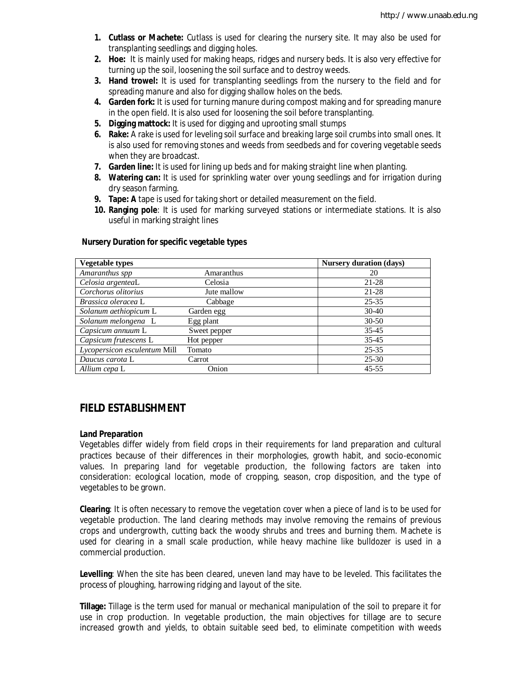- **1. Cutlass or Machete:** Cutlass is used for clearing the nursery site. It may also be used for transplanting seedlings and digging holes.
- **2. Hoe:** It is mainly used for making heaps, ridges and nursery beds. It is also very effective for turning up the soil, loosening the soil surface and to destroy weeds.
- **3. Hand trowel:** It is used for transplanting seedlings from the nursery to the field and for spreading manure and also for digging shallow holes on the beds.
- **4. Garden fork:** It is used for turning manure during compost making and for spreading manure in the open field. It is also used for loosening the soil before transplanting.
- **5. Digging mattock:** It is used for digging and uprooting small stumps
- **6. Rake:** A rake is used for leveling soil surface and breaking large soil crumbs into small ones. It is also used for removing stones and weeds from seedbeds and for covering vegetable seeds when they are broadcast.
- **7. Garden line:** It is used for lining up beds and for making straight line when planting.
- **8. Watering can:** It is used for sprinkling water over young seedlings and for irrigation during dry season farming.
- **9. Tape: A** tape is used for taking short or detailed measurement on the field.
- **10. Ranging pole**: It is used for marking surveyed stations or intermediate stations. It is also useful in marking straight lines

| <b>Vegetable types</b>       |              | <b>Nursery duration (days)</b> |
|------------------------------|--------------|--------------------------------|
| Amaranthus spp               | Amaranthus   | 20                             |
| Celosia argenteaL            | Celosia      | 21-28                          |
| Corchorus olitorius          | Jute mallow  | 21-28                          |
| Brassica oleracea L          | Cabbage      | $25 - 35$                      |
| Solanum aethiopicum L        | Garden egg   | $30-40$                        |
| Solanum melongena L          | Egg plant    | $30 - 50$                      |
| Capsicum annuum L            | Sweet pepper | $35 - 45$                      |
| Capsicum frutescens L        | Hot pepper   | $35 - 45$                      |
| Lycopersicon esculentum Mill | Tomato       | $25 - 35$                      |
| Daucus carota L              | Carrot       | $25 - 30$                      |
| Allium cepa L                | Onion        | $45 - 55$                      |

#### **Nursery Duration for specific vegetable types**

# **FIELD ESTABLISHMENT**

#### **Land Preparation**

Vegetables differ widely from field crops in their requirements for land preparation and cultural practices because of their differences in their morphologies, growth habit, and socio-economic values. In preparing land for vegetable production, the following factors are taken into consideration: ecological location, mode of cropping, season, crop disposition, and the type of vegetables to be grown.

**Clearing**: It is often necessary to remove the vegetation cover when a piece of land is to be used for vegetable production. The land clearing methods may involve removing the remains of previous crops and undergrowth, cutting back the woody shrubs and trees and burning them. Machete is used for clearing in a small scale production, while heavy machine like bulldozer is used in a commercial production.

**Levelling**: When the site has been cleared, uneven land may have to be leveled. This facilitates the process of ploughing, harrowing ridging and layout of the site.

**Tillage:** Tillage is the term used for manual or mechanical manipulation of the soil to prepare it for use in crop production. In vegetable production, the main objectives for tillage are to secure increased growth and yields, to obtain suitable seed bed, to eliminate competition with weeds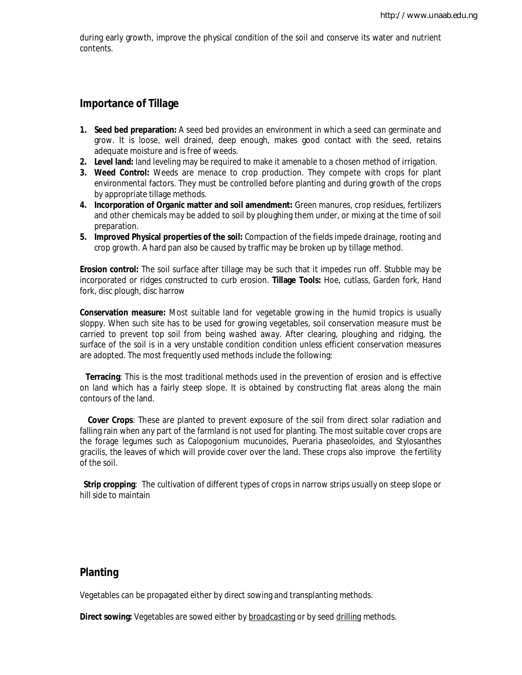during early growth, improve the physical condition of the soil and conserve its water and nutrient contents.

## **Importance of Tillage**

- **1. Seed bed preparation:** A seed bed provides an environment in which a seed can germinate and grow. It is loose, well drained, deep enough, makes good contact with the seed, retains adequate moisture and is free of weeds.
- **2. Level land:** land leveling may be required to make it amenable to a chosen method of irrigation.
- **3. Weed Control:** Weeds are menace to crop production. They compete with crops for plant environmental factors. They must be controlled before planting and during growth of the crops by appropriate tillage methods.
- **4. Incorporation of Organic matter and soil amendment:** Green manures, crop residues, fertilizers and other chemicals may be added to soil by ploughing them under, or mixing at the time of soil preparation.
- **5. Improved Physical properties of the soil:** Compaction of the fields impede drainage, rooting and crop growth. A hard pan also be caused by traffic may be broken up by tillage method.

**Erosion control:** The soil surface after tillage may be such that it impedes run off. Stubble may be incorporated or ridges constructed to curb erosion. **Tillage Tools:** Hoe, cutlass, Garden fork, Hand fork, disc plough, disc harrow

**Conservation measure:** Most suitable land for vegetable growing in the humid tropics is usually sloppy. When such site has to be used for growing vegetables, soil conservation measure must be carried to prevent top soil from being washed away. After clearing, ploughing and ridging, the surface of the soil is in a very unstable condition condition unless efficient conservation measures are adopted. The most frequently used methods include the following:

 **Terracing**: This is the most traditional methods used in the prevention of erosion and is effective on land which has a fairly steep slope. It is obtained by constructing flat areas along the main contours of the land.

 **Cover Crops**: These are planted to prevent exposure of the soil from direct solar radiation and falling rain when any part of the farmland is not used for planting. The most suitable cover crops are the forage legumes such as *Calopogonium mucunoides, Pueraria phaseoloides, and Stylosanthes gracilis,* the leaves of which will provide cover over the land. These crops also improve the fertility of the soil.

 **Strip cropping**: The cultivation of different types of crops in narrow strips usually on steep slope or hill side to maintain

# **Planting**

Vegetables can be propagated either by direct sowing and transplanting methods.

**Direct sowing:** Vegetables are sowed either by broadcasting or by seed drilling methods.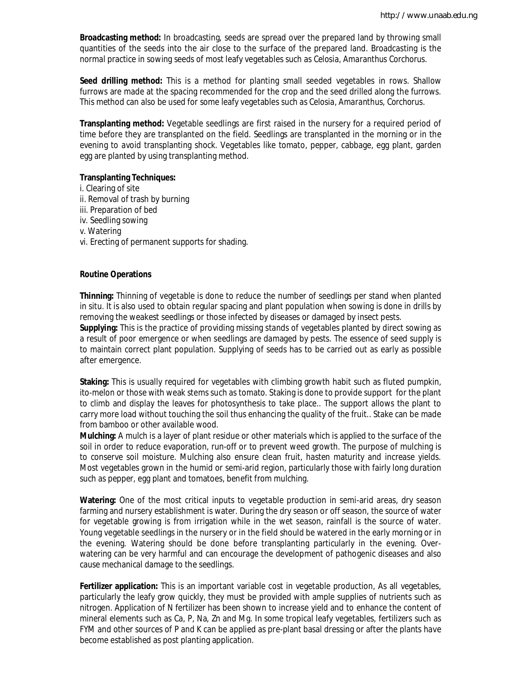**Broadcasting method:** In broadcasting, seeds are spread over the prepared land by throwing small quantities of the seeds into the air close to the surface of the prepared land. Broadcasting is the normal practice in sowing seeds of most leafy vegetables such as *Celosia, Amaranthus Corchorus*.

**Seed drilling method:** This is a method for planting small seeded vegetables in rows. Shallow furrows are made at the spacing recommended for the crop and the seed drilled along the furrows. This method can also be used for some leafy vegetables such as *Celosia, Amaranthus, Corchorus*.

**Transplanting method:** Vegetable seedlings are first raised in the nursery for a required period of time before they are transplanted on the field. Seedlings are transplanted in the morning or in the evening to avoid transplanting shock. Vegetables like tomato, pepper, cabbage, egg plant, garden egg are planted by using transplanting method.

#### **Transplanting Techniques:**

i. Clearing of site ii. Removal of trash by burning iii. Preparation of bed iv. Seedling sowing v. Watering vi. Erecting of permanent supports for shading.

#### **Routine Operations**

**Thinning:** Thinning of vegetable is done to reduce the number of seedlings per stand when planted in situ. It is also used to obtain regular spacing and plant population when sowing is done in drills by removing the weakest seedlings or those infected by diseases or damaged by insect pests.

**Supplying:** This is the practice of providing missing stands of vegetables planted by direct sowing as a result of poor emergence or when seedlings are damaged by pests. The essence of seed supply is to maintain correct plant population. Supplying of seeds has to be carried out as early as possible after emergence.

**Staking:** This is usually required for vegetables with climbing growth habit such as fluted pumpkin, ito-melon or those with weak stems such as tomato. Staking is done to provide support for the plant to climb and display the leaves for photosynthesis to take place.. The support allows the plant to carry more load without touching the soil thus enhancing the quality of the fruit.. Stake can be made from bamboo or other available wood.

**Mulching:** A mulch is a layer of plant residue or other materials which is applied to the surface of the soil in order to reduce evaporation, run-off or to prevent weed growth. The purpose of mulching is to conserve soil moisture. Mulching also ensure clean fruit, hasten maturity and increase yields. Most vegetables grown in the humid or semi-arid region, particularly those with fairly long duration such as pepper, egg plant and tomatoes, benefit from mulching.

**Watering:** One of the most critical inputs to vegetable production in semi-arid areas, dry season farming and nursery establishment is water. During the dry season or off season, the source of water for vegetable growing is from irrigation while in the wet season, rainfall is the source of water. Young vegetable seedlings in the nursery or in the field should be watered in the early morning or in the evening. Watering should be done before transplanting particularly in the evening. Overwatering can be very harmful and can encourage the development of pathogenic diseases and also cause mechanical damage to the seedlings.

**Fertilizer application:** This is an important variable cost in vegetable production, As all vegetables, particularly the leafy grow quickly, they must be provided with ample supplies of nutrients such as nitrogen. Application of N fertilizer has been shown to increase yield and to enhance the content of mineral elements such as Ca, P, Na, Zn and Mg. In some tropical leafy vegetables, fertilizers such as FYM and other sources of P and K can be applied as pre-plant basal dressing or after the plants have become established as post planting application.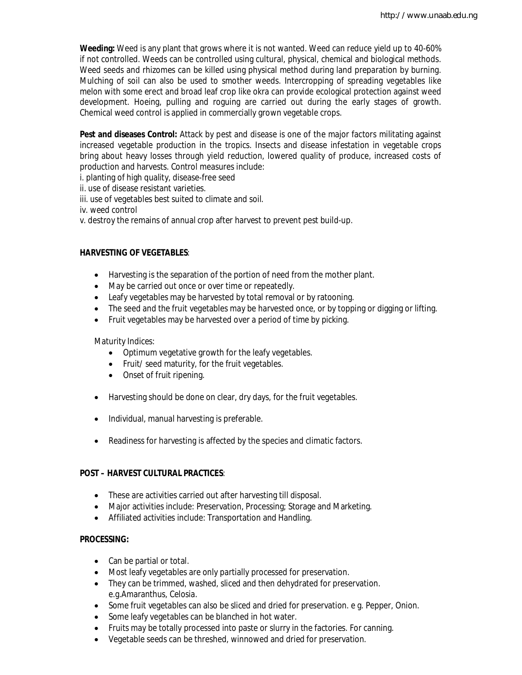**Weeding:** Weed is any plant that grows where it is not wanted. Weed can reduce yield up to 40-60% if not controlled. Weeds can be controlled using cultural, physical, chemical and biological methods. Weed seeds and rhizomes can be killed using physical method during land preparation by burning. Mulching of soil can also be used to smother weeds. Intercropping of spreading vegetables like melon with some erect and broad leaf crop like okra can provide ecological protection against weed development. Hoeing, pulling and roguing are carried out during the early stages of growth. Chemical weed control is applied in commercially grown vegetable crops.

**Pest and diseases Control:** Attack by pest and disease is one of the major factors militating against increased vegetable production in the tropics. Insects and disease infestation in vegetable crops bring about heavy losses through yield reduction, lowered quality of produce, increased costs of production and harvests. Control measures include:

i. planting of high quality, disease-free seed

ii. use of disease resistant varieties.

iii. use of vegetables best suited to climate and soil.

iv. weed control

v. destroy the remains of annual crop after harvest to prevent pest build-up.

### **HARVESTING OF VEGETABLES**:

- Harvesting is the separation of the portion of need from the mother plant.
- May be carried out once or over time or repeatedly.
- Leafy vegetables may be harvested by total removal or by ratooning.
- The seed and the fruit vegetables may be harvested once, or by topping or digging or lifting.
- Fruit vegetables may be harvested over a period of time by picking.

#### Maturity Indices:

- Optimum vegetative growth for the leafy vegetables.
- Fruit/ seed maturity, for the fruit vegetables.
- Onset of fruit ripening.
- Harvesting should be done on clear, dry days, for the fruit vegetables.
- Individual, manual harvesting is preferable.
- Readiness for harvesting is affected by the species and climatic factors.

#### **POST – HARVEST CULTURAL PRACTICES**:

- These are activities carried out after harvesting till disposal.
- Major activities include: Preservation, Processing; Storage and Marketing.
- Affiliated activities include: Transportation and Handling.

### **PROCESSING:**

- Can be partial or total.
- Most leafy vegetables are only partially processed for preservation.
- They can be trimmed, washed, sliced and then dehydrated for preservation. e.g.Amaranthus, Celosia.
- Some fruit vegetables can also be sliced and dried for preservation. e g. Pepper, Onion.
- Some leafy vegetables can be blanched in hot water.
- Fruits may be totally processed into paste or slurry in the factories. For canning.
- Vegetable seeds can be threshed, winnowed and dried for preservation.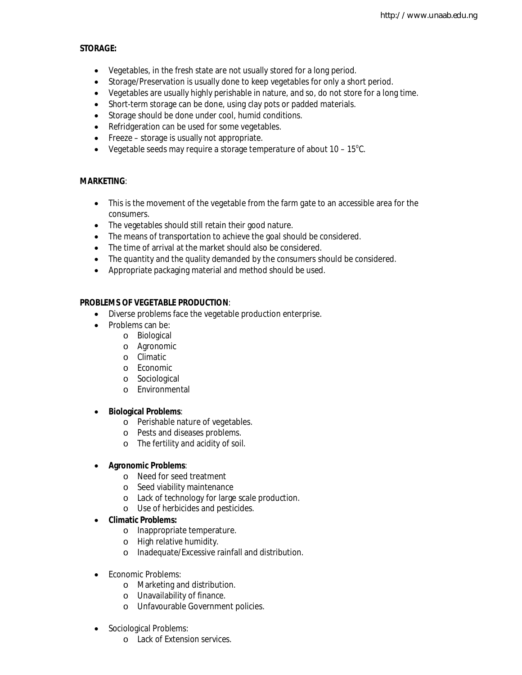### **STORAGE:**

- Vegetables, in the fresh state are not usually stored for a long period.
- Storage/Preservation is usually done to keep vegetables for only a short period.
- Vegetables are usually highly perishable in nature, and so, do not store for a long time.
- Short-term storage can be done, using clay pots or padded materials.
- Storage should be done under cool, humid conditions.
- Refridgeration can be used for some vegetables.
- Freeze storage is usually not appropriate.
- Vegetable seeds may require a storage temperature of about  $10 15^{\circ}$ C.

## **MARKETING**:

- This is the movement of the vegetable from the farm gate to an accessible area for the consumers.
- The vegetables should still retain their good nature.
- The means of transportation to achieve the goal should be considered.
- The time of arrival at the market should also be considered.
- The quantity and the quality demanded by the consumers should be considered.
- Appropriate packaging material and method should be used.

## **PROBLEMS OF VEGETABLE PRODUCTION**:

- Diverse problems face the vegetable production enterprise.
- Problems can be:
	- o Biological
	- o Agronomic
	- o Climatic
	- o Economic
	- o Sociological
	- o Environmental

### **Biological Problems**:

- o Perishable nature of vegetables.
- o Pests and diseases problems.
- o The fertility and acidity of soil.

### **Agronomic Problems**:

- o Need for seed treatment
- o Seed viability maintenance
- o Lack of technology for large scale production.
- o Use of herbicides and pesticides.
- **Climatic Problems:**
	- o Inappropriate temperature.
	- o High relative humidity.
	- o Inadequate/Excessive rainfall and distribution.
- Fconomic Problems:
	- o Marketing and distribution.
	- o Unavailability of finance.
	- o Unfavourable Government policies.
- Sociological Problems:
	- o Lack of Extension services.